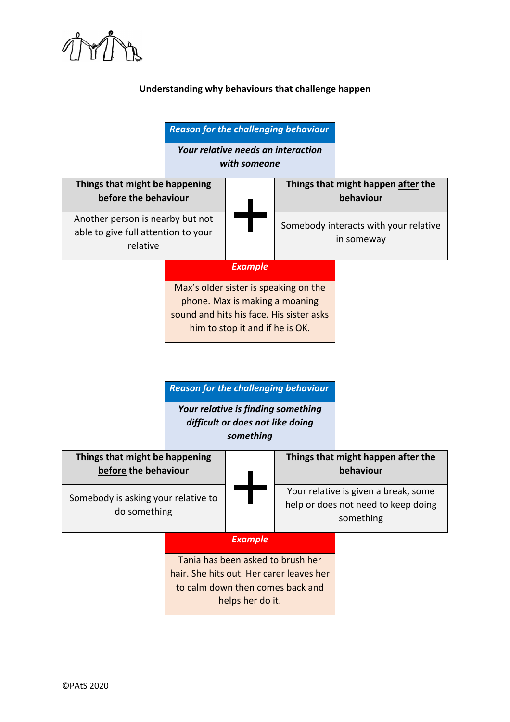

## **Understanding why behaviours that challenge happen**

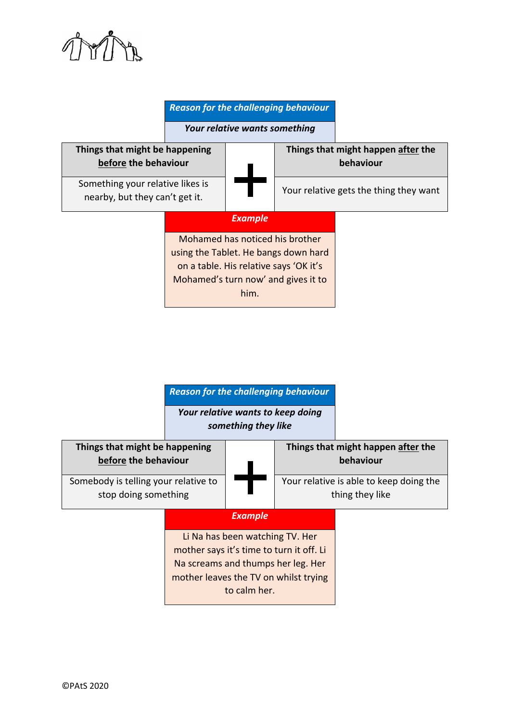

## *Reason for the challenging behaviour*

*Your relative wants something*



*Reason for the challenging behaviour*

*Your relative wants to keep doing something they like*

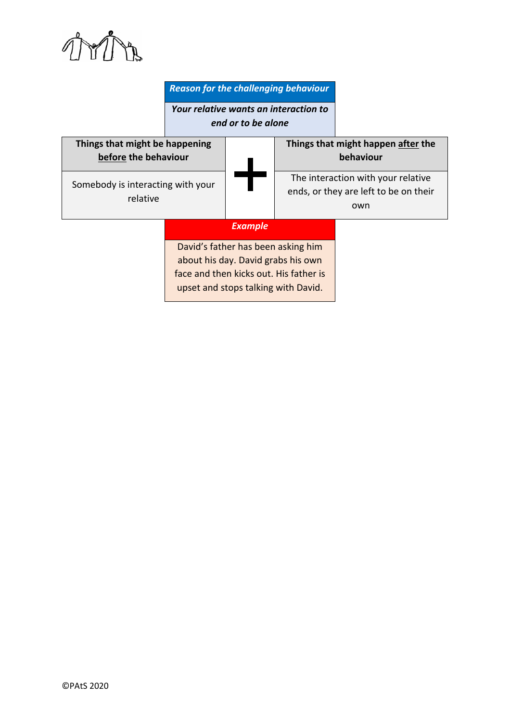